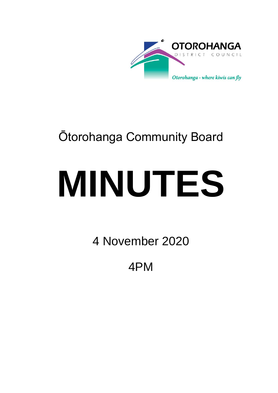

## Ōtorohanga Community Board

# **MINUTES**

4 November 2020

4PM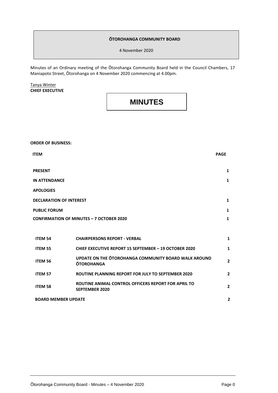#### **ŌTOROHANGA COMMUNITY BOARD**

4 November 2020

Minutes of an Ordinary meeting of the Ōtorohanga Community Board held in the Council Chambers, 17 Maniapoto Street, Ōtorohanga on 4 November 2020 commencing at 4.00pm.

Tanya Winter **CHIEF EXECUTIVE**

### **MINUTES**

**ORDER OF BUSINESS:**

| <b>ITEM</b>                                     |                                                                              | <b>PAGE</b>    |
|-------------------------------------------------|------------------------------------------------------------------------------|----------------|
| <b>PRESENT</b>                                  |                                                                              | $\mathbf{1}$   |
| <b>IN ATTENDANCE</b>                            |                                                                              | $\mathbf{1}$   |
| <b>APOLOGIES</b>                                |                                                                              |                |
| <b>DECLARATION OF INTEREST</b>                  |                                                                              | $\mathbf{1}$   |
| <b>PUBLIC FORUM</b>                             |                                                                              | $\mathbf{1}$   |
| <b>CONFIRMATION OF MINUTES - 7 OCTOBER 2020</b> |                                                                              | $\mathbf{1}$   |
|                                                 |                                                                              |                |
| <b>ITEM 54</b>                                  | <b>CHAIRPERSONS REPORT - VERBAL</b>                                          | 1              |
| <b>ITEM 55</b>                                  | <b>CHIEF EXECUTIVE REPORT 15 SEPTEMBER - 19 OCTOBER 2020</b>                 | 1              |
| ITEM 56                                         | UPDATE ON THE OTOROHANGA COMMUNITY BOARD WALK AROUND<br><b>OTOROHANGA</b>    | 2              |
| <b>ITEM 57</b>                                  | ROUTINE PLANNING REPORT FOR JULY TO SEPTEMBER 2020                           | 2              |
| <b>ITEM 58</b>                                  | ROUTINE ANIMAL CONTROL OFFICERS REPORT FOR APRIL TO<br><b>SEPTEMBER 2020</b> | $\overline{2}$ |

**BOARD MEMBER UPDATE** 2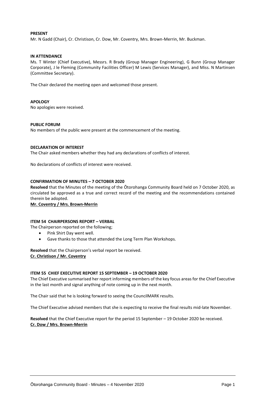#### **PRESENT**

Mr. N Gadd (Chair), Cr. Christison, Cr. Dow, Mr. Coventry, Mrs. Brown-Merrin, Mr. Buckman.

#### **IN ATTENDANCE**

Ms. T Winter (Chief Executive), Messrs. R Brady (Group Manager Engineering), G Bunn (Group Manager Corporate), J le Fleming (Community Facilities Officer) M Lewis (Services Manager), and Miss. N Martinsen (Committee Secretary).

The Chair declared the meeting open and welcomed those present.

#### **APOLOGY**

No apologies were received.

#### **PUBLIC FORUM**

No members of the public were present at the commencement of the meeting.

#### **DECLARATION OF INTEREST**

The Chair asked members whether they had any declarations of conflicts of interest.

No declarations of conflicts of interest were received.

#### **CONFIRMATION OF MINUTES – 7 OCTOBER 2020**

**Resolved** that the Minutes of the meeting of the Ōtorohanga Community Board held on 7 October 2020, as circulated be approved as a true and correct record of the meeting and the recommendations contained therein be adopted.

**Mr. Coventry / Mrs. Brown-Merrin**

#### **ITEM 54 CHAIRPERSONS REPORT – VERBAL**

The Chairperson reported on the following;

- Pink Shirt Day went well.
- Gave thanks to those that attended the Long Term Plan Workshops.

**Resolved** that the Chairperson's verbal report be received. **Cr. Christison / Mr. Coventry**

#### **ITEM 55 CHIEF EXECUTIVE REPORT 15 SEPTEMBER – 19 OCTOBER 2020**

The Chief Executive summarised her report informing members of the key focus areas for the Chief Executive in the last month and signal anything of note coming up in the next month.

The Chair said that he is looking forward to seeing the CouncilMARK results.

The Chief Executive advised members that she is expecting to receive the final results mid-late November.

**Resolved** that the Chief Executive report for the period 15 September – 19 October 2020 be received. **Cr. Dow / Mrs. Brown-Merrin**